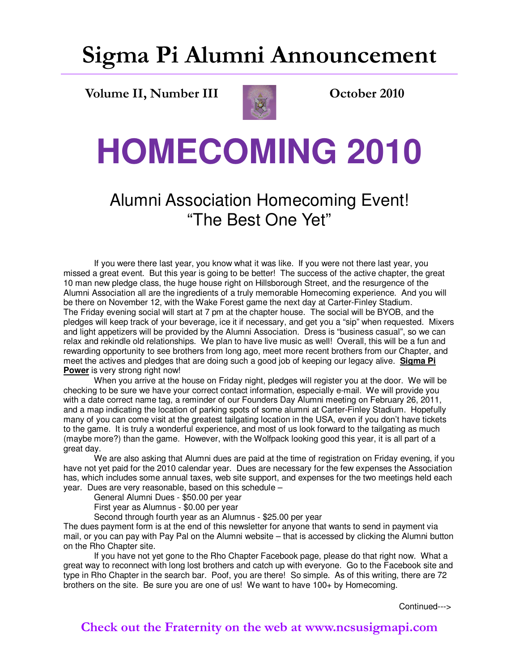### **Sigma Pi Alumni Announcement**

**Volume II, Number III Constant Construction Construction October 2010** 



# **HOMECOMING 2010**

### Alumni Association Homecoming Event! "The Best One Yet"

 If you were there last year, you know what it was like. If you were not there last year, you missed a great event. But this year is going to be better! The success of the active chapter, the great 10 man new pledge class, the huge house right on Hillsborough Street, and the resurgence of the Alumni Association all are the ingredients of a truly memorable Homecoming experience. And you will be there on November 12, with the Wake Forest game the next day at Carter-Finley Stadium. The Friday evening social will start at 7 pm at the chapter house. The social will be BYOB, and the pledges will keep track of your beverage, ice it if necessary, and get you a "sip" when requested. Mixers and light appetizers will be provided by the Alumni Association. Dress is "business casual", so we can relax and rekindle old relationships. We plan to have live music as well! Overall, this will be a fun and rewarding opportunity to see brothers from long ago, meet more recent brothers from our Chapter, and meet the actives and pledges that are doing such a good job of keeping our legacy alive. **Sigma Pi Power** is very strong right now!

 When you arrive at the house on Friday night, pledges will register you at the door. We will be checking to be sure we have your correct contact information, especially e-mail. We will provide you with a date correct name tag, a reminder of our Founders Day Alumni meeting on February 26, 2011, and a map indicating the location of parking spots of some alumni at Carter-Finley Stadium. Hopefully many of you can come visit at the greatest tailgating location in the USA, even if you don't have tickets to the game. It is truly a wonderful experience, and most of us look forward to the tailgating as much (maybe more?) than the game. However, with the Wolfpack looking good this year, it is all part of a great day.

 We are also asking that Alumni dues are paid at the time of registration on Friday evening, if you have not yet paid for the 2010 calendar year. Dues are necessary for the few expenses the Association has, which includes some annual taxes, web site support, and expenses for the two meetings held each year. Dues are very reasonable, based on this schedule –

General Alumni Dues - \$50.00 per year

First year as Alumnus - \$0.00 per year

Second through fourth year as an Alumnus - \$25.00 per year

The dues payment form is at the end of this newsletter for anyone that wants to send in payment via mail, or you can pay with Pay Pal on the Alumni website – that is accessed by clicking the Alumni button on the Rho Chapter site.

 If you have not yet gone to the Rho Chapter Facebook page, please do that right now. What a great way to reconnect with long lost brothers and catch up with everyone. Go to the Facebook site and type in Rho Chapter in the search bar. Poof, you are there! So simple. As of this writing, there are 72 brothers on the site. Be sure you are one of us! We want to have 100+ by Homecoming.

Continued--->

**Check out the Fraternity on the web at www.ncsusigmapi.com**